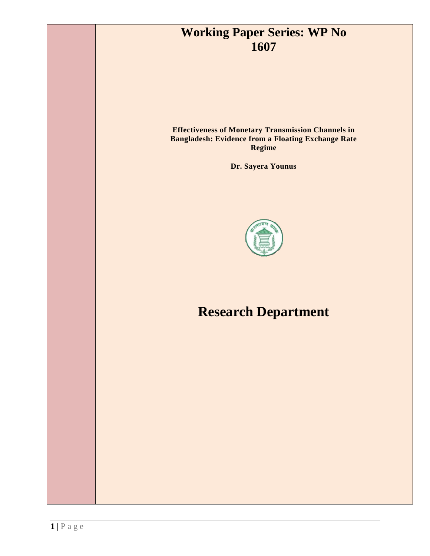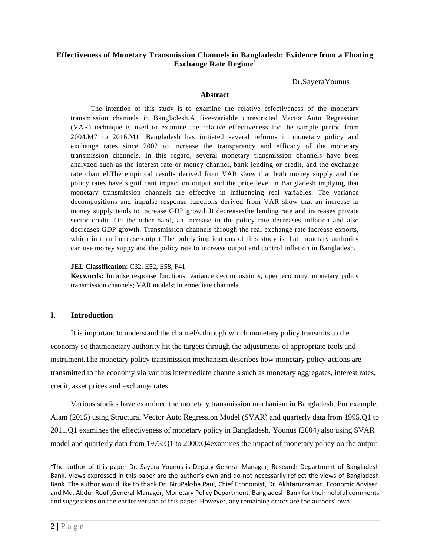## **Effectiveness of Monetary Transmission Channels in Bangladesh: Evidence from a Floating Exchange Rate Regime**<sup>1</sup>

Dr.SayeraYounus

#### **Abstract**

The intention of this study is to examine the relative effectiveness of the monetary transmission channels in Bangladesh.A five-variable unrestricted Vector Auto Regression (VAR) technique is used to examine the relative effectiveness for the sample period from 2004.M7 to 2016.M1. Bangladesh has initiated several reforms in monetary policy and exchange rates since 2002 to increase the transparency and efficacy of the monetary transmission channels. In this regard, several monetary transmission channels have been analyzed such as the interest rate or money channel, bank lending or credit, and the exchange rate channel.The empirical results derived from VAR show that both money supply and the policy rates have significant impact on output and the price level in Bangladesh implying that monetary transmission channels are effective in influencing real variables. The variance decompositions and impulse response functions derived from VAR show that an increase in money supply tends to increase GDP growth.It decreasesthe lending rate and increases private sector credit. On the other hand, an increase in the policy rate decreases inflation and also decreases GDP growth. Transmission channels through the real exchange rate increase exports, which in turn increase output.The polciy implications of this study is that monetary authority can use money suppy and the policy rate to increase output and control inflation in Bangladesh.

#### **JEL Classification**: C32, E52, E58, F41

**Keywords:** Impulse response functions; variance decompositions, open economy, monetary policy transmission channels; VAR models; intermediate channels.

#### **I. Introduction**

It is important to understand the channel/s through which monetary policy transmits to the economy so thatmonetary authority hit the targets through the adjustments of appropriate tools and instrument.The monetary policy transmission mechanism describes how monetary policy actions are transmitted to the economy via various intermediate channels such as monetary aggregates, interest rates, credit, asset prices and exchange rates.

Various studies have examined the monetary transmission mechanism in Bangladesh. For example, Alam (2015) using Structural Vector Auto Regression Model (SVAR) and quarterly data from 1995.Q1 to 2011.Q1 examines the effectiveness of monetary policy in Bangladesh. Younus (2004) also using SVAR model and quarterly data from 1973:Q1 to 2000:Q4examines the impact of monetary policy on the output

 $\overline{a}$ 

<sup>&</sup>lt;sup>1</sup>The author of this paper Dr. Sayera Younus is Deputy General Manager, Research Department of Bangladesh Bank. Views expressed in this paper are the author's own and do not necessarily reflect the views of Bangladesh Bank. The author would like to thank Dr. BiruPaksha Paul, Chief Economist, Dr. Akhtaruzzaman, Economic Adviser, and Md. Abdur Rouf ,General Manager, Monetary Policy Department, Bangladesh Bank for their helpful comments and suggestions on the earlier version of this paper. However, any remaining errors are the authors' own.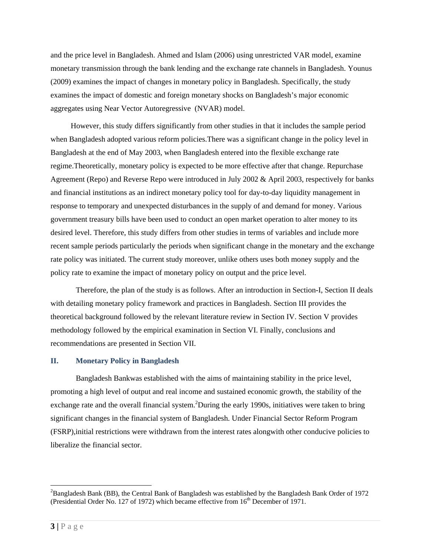and the price level in Bangladesh. Ahmed and Islam (2006) using unrestricted VAR model, examine monetary transmission through the bank lending and the exchange rate channels in Bangladesh. Younus (2009) examines the impact of changes in monetary policy in Bangladesh. Specifically, the study examines the impact of domestic and foreign monetary shocks on Bangladesh's major economic aggregates using Near Vector Autoregressive (NVAR) model.

However, this study differs significantly from other studies in that it includes the sample period when Bangladesh adopted various reform policies.There was a significant change in the policy level in Bangladesh at the end of May 2003, when Bangladesh entered into the flexible exchange rate regime.Theoretically, monetary policy is expected to be more effective after that change. Repurchase Agreement (Repo) and Reverse Repo were introduced in July 2002 & April 2003, respectively for banks and financial institutions as an indirect monetary policy tool for day-to-day liquidity management in response to temporary and unexpected disturbances in the supply of and demand for money. Various government treasury bills have been used to conduct an open market operation to alter money to its desired level. Therefore, this study differs from other studies in terms of variables and include more recent sample periods particularly the periods when significant change in the monetary and the exchange rate policy was initiated. The current study moreover, unlike others uses both money supply and the policy rate to examine the impact of monetary policy on output and the price level.

Therefore, the plan of the study is as follows. After an introduction in Section-I, Section II deals with detailing monetary policy framework and practices in Bangladesh. Section III provides the theoretical background followed by the relevant literature review in Section IV. Section V provides methodology followed by the empirical examination in Section VI. Finally, conclusions and recommendations are presented in Section VII.

## **II. Monetary Policy in Bangladesh**

 Bangladesh Bankwas established with the aims of maintaining stability in the price level, promoting a high level of output and real income and sustained economic growth, the stability of the exchange rate and the overall financial system. <sup>2</sup>During the early 1990s, initiatives were taken to bring significant changes in the financial system of Bangladesh. Under Financial Sector Reform Program (FSRP),initial restrictions were withdrawn from the interest rates alongwith other conducive policies to liberalize the financial sector.

 $\overline{a}$ 

 ${}^{2}$ Bangladesh Bank (BB), the Central Bank of Bangladesh was established by the Bangladesh Bank Order of 1972 (Presidential Order No. 127 of 1972) which became effective from  $16<sup>th</sup>$  December of 1971.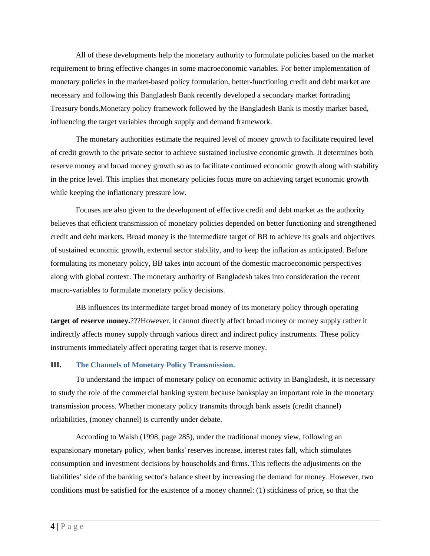All of these developments help the monetary authority to formulate policies based on the market requirement to bring effective changes in some macroeconomic variables. For better implementation of monetary policies in the market-based policy formulation, better-functioning credit and debt market are necessary and following this Bangladesh Bank recently developed a secondary market fortrading Treasury bonds.Monetary policy framework followed by the Bangladesh Bank is mostly market based, influencing the target variables through supply and demand framework.

The monetary authorities estimate the required level of money growth to facilitate required level of credit growth to the private sector to achieve sustained inclusive economic growth. It determines both reserve money and broad money growth so as to facilitate continued economic growth along with stability in the price level. This implies that monetary policies focus more on achieving target economic growth while keeping the inflationary pressure low.

Focuses are also given to the development of effective credit and debt market as the authority believes that efficient transmission of monetary policies depended on better functioning and strengthened credit and debt markets. Broad money is the intermediate target of BB to achieve its goals and objectives of sustained economic growth, external sector stability, and to keep the inflation as anticipated. Before formulating its monetary policy, BB takes into account of the domestic macroeconomic perspectives along with global context. The monetary authority of Bangladesh takes into consideration the recent macro-variables to formulate monetary policy decisions.

BB influences its intermediate target broad money of its monetary policy through operating **target of reserve money.**???However, it cannot directly affect broad money or money supply rather it indirectly affects money supply through various direct and indirect policy instruments. These policy instruments immediately affect operating target that is reserve money.

## **III. The Channels of Monetary Policy Transmission.**

To understand the impact of monetary policy on economic activity in Bangladesh, it is necessary to study the role of the commercial banking system because banksplay an important role in the monetary transmission process. Whether monetary policy transmits through bank assets (credit channel) orliabilities, (money channel) is currently under debate.

According to Walsh (1998, page 285), under the traditional money view, following an expansionary monetary policy, when banks' reserves increase, interest rates fall, which stimulates consumption and investment decisions by households and firms. This reflects the adjustments on the liabilities' side of the banking sector's balance sheet by increasing the demand for money. However, two conditions must be satisfied for the existence of a money channel: (1) stickiness of price, so that the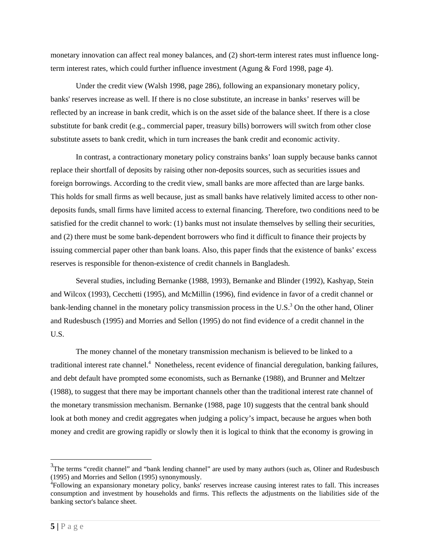monetary innovation can affect real money balances, and (2) short-term interest rates must influence longterm interest rates, which could further influence investment (Agung & Ford 1998, page 4).

Under the credit view (Walsh 1998, page 286), following an expansionary monetary policy, banks' reserves increase as well. If there is no close substitute, an increase in banks' reserves will be reflected by an increase in bank credit, which is on the asset side of the balance sheet. If there is a close substitute for bank credit (e.g., commercial paper, treasury bills) borrowers will switch from other close substitute assets to bank credit, which in turn increases the bank credit and economic activity.

In contrast, a contractionary monetary policy constrains banks' loan supply because banks cannot replace their shortfall of deposits by raising other non-deposits sources, such as securities issues and foreign borrowings. According to the credit view, small banks are more affected than are large banks. This holds for small firms as well because, just as small banks have relatively limited access to other nondeposits funds, small firms have limited access to external financing. Therefore, two conditions need to be satisfied for the credit channel to work: (1) banks must not insulate themselves by selling their securities, and (2) there must be some bank-dependent borrowers who find it difficult to finance their projects by issuing commercial paper other than bank loans. Also, this paper finds that the existence of banks' excess reserves is responsible for thenon-existence of credit channels in Bangladesh.

Several studies, including Bernanke (1988, 1993), Bernanke and Blinder (1992), Kashyap, Stein and Wilcox (1993), Cecchetti (1995), and McMillin (1996), find evidence in favor of a credit channel or bank-lending channel in the monetary policy transmission process in the U.S.<sup>3</sup> On the other hand, Oliner and Rudesbusch (1995) and Morries and Sellon (1995) do not find evidence of a credit channel in the U.S.

The money channel of the monetary transmission mechanism is believed to be linked to a traditional interest rate channel.<sup>4</sup> Nonetheless, recent evidence of financial deregulation, banking failures, and debt default have prompted some economists, such as Bernanke (1988), and Brunner and Meltzer (1988), to suggest that there may be important channels other than the traditional interest rate channel of the monetary transmission mechanism. Bernanke (1988, page 10) suggests that the central bank should look at both money and credit aggregates when judging a policy's impact, because he argues when both money and credit are growing rapidly or slowly then it is logical to think that the economy is growing in

 $\overline{a}$ 

 $3$ The terms "credit channel" and "bank lending channel" are used by many authors (such as, Oliner and Rudesbusch (1995) and Morries and Sellon (1995) synonymously.

<sup>4</sup> Following an expansionary monetary policy, banks' reserves increase causing interest rates to fall. This increases consumption and investment by households and firms. This reflects the adjustments on the liabilities side of the banking sector's balance sheet.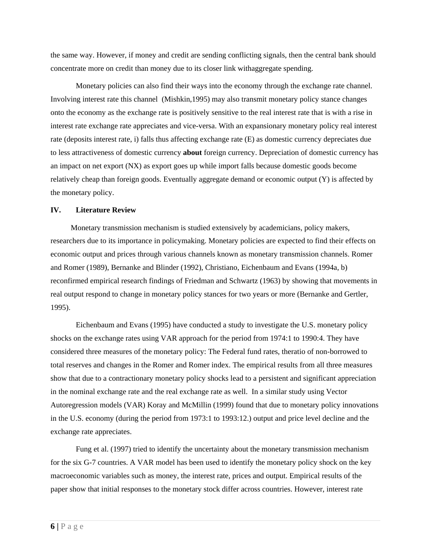the same way. However, if money and credit are sending conflicting signals, then the central bank should concentrate more on credit than money due to its closer link withaggregate spending.

Monetary policies can also find their ways into the economy through the exchange rate channel. Involving interest rate this channel (Mishkin,1995) may also transmit monetary policy stance changes onto the economy as the exchange rate is positively sensitive to the real interest rate that is with a rise in interest rate exchange rate appreciates and vice-versa. With an expansionary monetary policy real interest rate (deposits interest rate, i) falls thus affecting exchange rate (E) as domestic currency depreciates due to less attractiveness of domestic currency **about** foreign currency. Depreciation of domestic currency has an impact on net export (NX) as export goes up while import falls because domestic goods become relatively cheap than foreign goods. Eventually aggregate demand or economic output (Y) is affected by the monetary policy.

#### **IV. Literature Review**

Monetary transmission mechanism is studied extensively by academicians, policy makers, researchers due to its importance in policymaking. Monetary policies are expected to find their effects on economic output and prices through various channels known as monetary transmission channels. Romer and Romer (1989), Bernanke and Blinder (1992), Christiano, Eichenbaum and Evans (1994a, b) reconfirmed empirical research findings of Friedman and Schwartz (1963) by showing that movements in real output respond to change in monetary policy stances for two years or more (Bernanke and Gertler, 1995).

Eichenbaum and Evans (1995) have conducted a study to investigate the U.S. monetary policy shocks on the exchange rates using VAR approach for the period from 1974:1 to 1990:4. They have considered three measures of the monetary policy: The Federal fund rates, theratio of non-borrowed to total reserves and changes in the Romer and Romer index. The empirical results from all three measures show that due to a contractionary monetary policy shocks lead to a persistent and significant appreciation in the nominal exchange rate and the real exchange rate as well. In a similar study using Vector Autoregression models (VAR) Koray and McMillin (1999) found that due to monetary policy innovations in the U.S. economy (during the period from 1973:1 to 1993:12.) output and price level decline and the exchange rate appreciates.

Fung et al. (1997) tried to identify the uncertainty about the monetary transmission mechanism for the six G-7 countries. A VAR model has been used to identify the monetary policy shock on the key macroeconomic variables such as money, the interest rate, prices and output. Empirical results of the paper show that initial responses to the monetary stock differ across countries. However, interest rate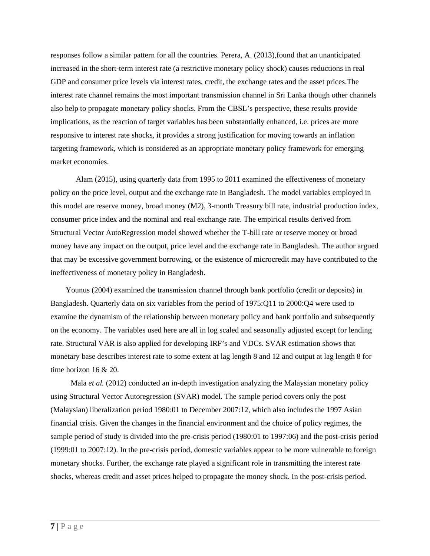responses follow a similar pattern for all the countries. Perera, A. (2013),found that an unanticipated increased in the short-term interest rate (a restrictive monetary policy shock) causes reductions in real GDP and consumer price levels via interest rates, credit, the exchange rates and the asset prices.The interest rate channel remains the most important transmission channel in Sri Lanka though other channels also help to propagate monetary policy shocks. From the CBSL's perspective, these results provide implications, as the reaction of target variables has been substantially enhanced, i.e. prices are more responsive to interest rate shocks, it provides a strong justification for moving towards an inflation targeting framework, which is considered as an appropriate monetary policy framework for emerging market economies.

Alam (2015), using quarterly data from 1995 to 2011 examined the effectiveness of monetary policy on the price level, output and the exchange rate in Bangladesh. The model variables employed in this model are reserve money, broad money (M2), 3-month Treasury bill rate, industrial production index, consumer price index and the nominal and real exchange rate. The empirical results derived from Structural Vector AutoRegression model showed whether the T-bill rate or reserve money or broad money have any impact on the output, price level and the exchange rate in Bangladesh. The author argued that may be excessive government borrowing, or the existence of microcredit may have contributed to the ineffectiveness of monetary policy in Bangladesh.

Younus (2004) examined the transmission channel through bank portfolio (credit or deposits) in Bangladesh. Quarterly data on six variables from the period of 1975:Q11 to 2000:Q4 were used to examine the dynamism of the relationship between monetary policy and bank portfolio and subsequently on the economy. The variables used here are all in log scaled and seasonally adjusted except for lending rate. Structural VAR is also applied for developing IRF's and VDCs. SVAR estimation shows that monetary base describes interest rate to some extent at lag length 8 and 12 and output at lag length 8 for time horizon 16 & 20.

Mala *et al.* (2012) conducted an in-depth investigation analyzing the Malaysian monetary policy using Structural Vector Autoregression (SVAR) model. The sample period covers only the post (Malaysian) liberalization period 1980:01 to December 2007:12, which also includes the 1997 Asian financial crisis. Given the changes in the financial environment and the choice of policy regimes, the sample period of study is divided into the pre-crisis period (1980:01 to 1997:06) and the post-crisis period (1999:01 to 2007:12). In the pre-crisis period, domestic variables appear to be more vulnerable to foreign monetary shocks. Further, the exchange rate played a significant role in transmitting the interest rate shocks, whereas credit and asset prices helped to propagate the money shock. In the post-crisis period.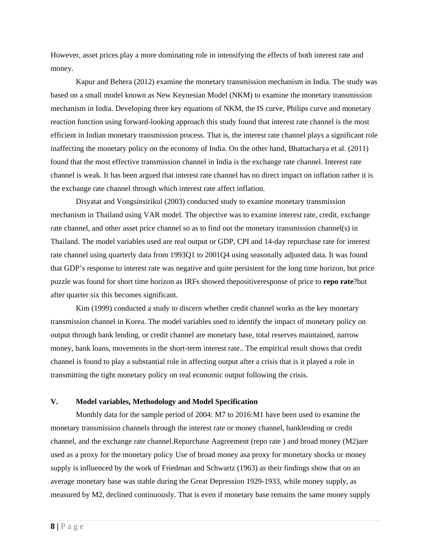However, asset prices play a more dominating role in intensifying the effects of both interest rate and money.

Kapur and Behera (2012) examine the monetary transmission mechanism in India. The study was based on a small model known as New Keynesian Model (NKM) to examine the monetary transmission mechanism in India. Developing three key equations of NKM, the IS curve, Philips curve and monetary reaction function using forward-looking approach this study found that interest rate channel is the most efficient in Indian monetary transmission process. That is, the interest rate channel plays a significant role inaffecting the monetary policy on the economy of India. On the other hand, Bhattacharya et al. (2011) found that the most effective transmission channel in India is the exchange rate channel. Interest rate channel is weak. It has been argued that interest rate channel has no direct impact on inflation rather it is the exchange rate channel through which interest rate affect inflation.

Disyatat and Vongsinsirikul (2003) conducted study to examine monetary transmission mechanism in Thailand using VAR model. The objective was to examine interest rate, credit, exchange rate channel, and other asset price channel so as to find out the monetary transmission channel(s) in Thailand. The model variables used are real output or GDP, CPI and 14-day repurchase rate for interest rate channel using quarterly data from 1993Q1 to 2001Q4 using seasonally adjusted data. It was found that GDP's response to interest rate was negative and quite persistent for the long time horizon, but price puzzle was found for short time horizon as IRFs showed thepositiveresponse of price to **repo rate**?but after quarter six this becomes significant.

Kim (1999) conducted a study to discern whether credit channel works as the key monetary transmission channel in Korea. The model variables used to identify the impact of monetary policy on output through bank lending, or credit channel are monetary base, total reserves maintained, narrow money, bank loans, movements in the short-term interest rate.. The empirical result shows that credit channel is found to play a substantial role in affecting output after a crisis that is it played a role in transmitting the tight monetary policy on real economic output following the crisis.

## **V. Model variables, Methodology and Model Specification**

Monthly data for the sample period of 2004: M7 to 2016:M1 have been used to examine the monetary transmission channels through the interest rate or money channel, banklending or credit channel, and the exchange rate channel.Repurchase Aagreement (repo rate ) and broad money (M2)are used as a proxy for the monetary policy. Use of broad money asa proxy for monetary shocks or money supply is influenced by the work of Friedman and Schwartz (1963) as their findings show that on an average monetary base was stable during the Great Depression 1929-1933, while money supply, as measured by M2, declined continuously. That is even if monetary base remains the same money supply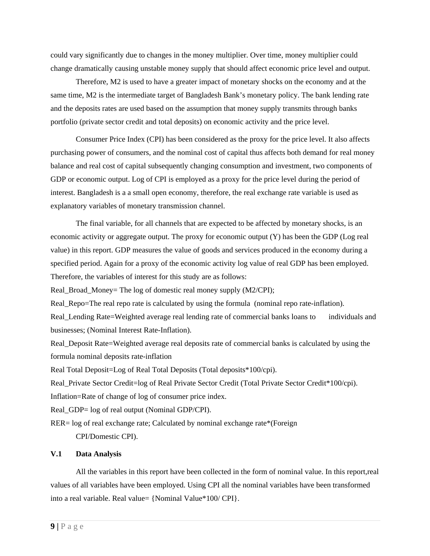could vary significantly due to changes in the money multiplier. Over time, money multiplier could change dramatically causing unstable money supply that should affect economic price level and output.

Therefore, M2 is used to have a greater impact of monetary shocks on the economy and at the same time, M2 is the intermediate target of Bangladesh Bank's monetary policy. The bank lending rate and the deposits rates are used based on the assumption that money supply transmits through banks portfolio (private sector credit and total deposits) on economic activity and the price level.

Consumer Price Index (CPI) has been considered as the proxy for the price level. It also affects purchasing power of consumers, and the nominal cost of capital thus affects both demand for real money balance and real cost of capital subsequently changing consumption and investment, two components of GDP or economic output. Log of CPI is employed as a proxy for the price level during the period of interest. Bangladesh is a a small open economy, therefore, the real exchange rate variable is used as explanatory variables of monetary transmission channel.

The final variable, for all channels that are expected to be affected by monetary shocks, is an economic activity or aggregate output. The proxy for economic output (Y) has been the GDP (Log real value) in this report. GDP measures the value of goods and services produced in the economy during a specified period. Again for a proxy of the economic activity log value of real GDP has been employed. Therefore, the variables of interest for this study are as follows:

Real\_Broad\_Money= The log of domestic real money supply (M2/CPI);

Real Repo=The real repo rate is calculated by using the formula (nominal repo rate-inflation).

Real\_Lending Rate=Weighted average real lending rate of commercial banks loans to individuals and businesses; (Nominal Interest Rate-Inflation).

Real\_Deposit Rate=Weighted average real deposits rate of commercial banks is calculated by using the formula nominal deposits rate-inflation

Real Total Deposit=Log of Real Total Deposits (Total deposits\*100/cpi).

Real\_Private Sector Credit=log of Real Private Sector Credit (Total Private Sector Credit\*100/cpi).

Inflation=Rate of change of log of consumer price index.

Real GDP= log of real output (Nominal GDP/CPI).

RER= log of real exchange rate; Calculated by nominal exchange rate\*(Foreign

CPI/Domestic CPI).

#### **V.1 Data Analysis**

 All the variables in this report have been collected in the form of nominal value. In this report,real values of all variables have been employed. Using CPI all the nominal variables have been transformed into a real variable. Real value= {Nominal Value\*100/ CPI}.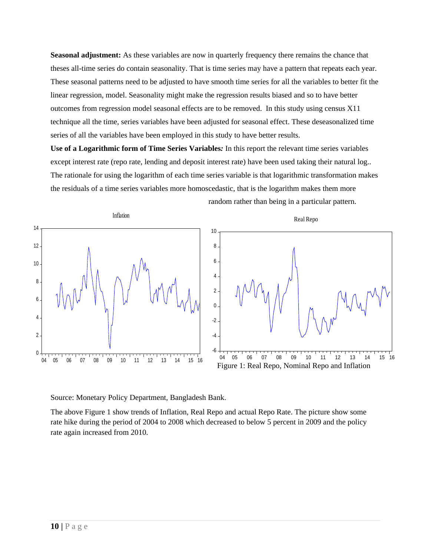**Seasonal adjustment:** As these variables are now in quarterly frequency there remains the chance that theses all-time series do contain seasonality. That is time series may have a pattern that repeats each year. These seasonal patterns need to be adjusted to have smooth time series for all the variables to better fit the linear regression, model. Seasonality might make the regression results biased and so to have better outcomes from regression model seasonal effects are to be removed. In this study using census X11 technique all the time, series variables have been adjusted for seasonal effect. These deseasonalized time series of all the variables have been employed in this study to have better results.

**Use of a Logarithmic form of Time Series Variables***:* In this report the relevant time series variables except interest rate (repo rate, lending and deposit interest rate) have been used taking their natural log.. The rationale for using the logarithm of each time series variable is that logarithmic transformation makes the residuals of a time series variables more homoscedastic, that is the logarithm makes them more



Source: Monetary Policy Department, Bangladesh Bank.

The above Figure 1 show trends of Inflation, Real Repo and actual Repo Rate. The picture show some rate hike during the period of 2004 to 2008 which decreased to below 5 percent in 2009 and the policy rate again increased from 2010.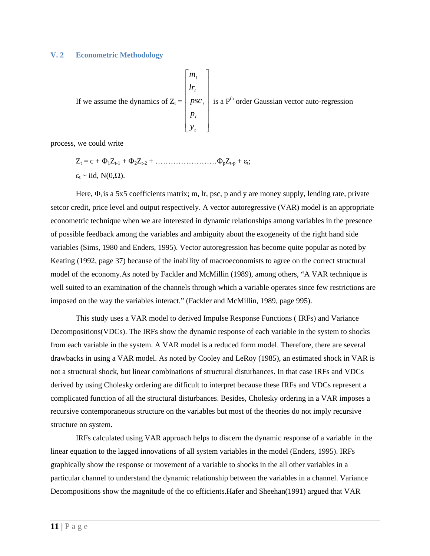#### **V. 2 Econometric Methodology**

If we assume the dynamics of 
$$
Z_t = \begin{bmatrix} m_t \\ lr_t \\ psc_t \\ p_t \\ y_t \end{bmatrix}
$$
 is a P<sup>th</sup> order Gaussian vector auto-regression

process, we could write

Zt = c + 1Zt-1 + 2Zt-2 + ……………………pZt-p + t; t ~ iid, N(0,).

Here,  $\Phi_i$  is a 5x5 coefficients matrix; m, lr, psc, p and y are money supply, lending rate, private setcor credit, price level and output respectively. A vector autoregressive (VAR) model is an appropriate econometric technique when we are interested in dynamic relationships among variables in the presence of possible feedback among the variables and ambiguity about the exogeneity of the right hand side variables (Sims, 1980 and Enders, 1995). Vector autoregression has become quite popular as noted by Keating (1992, page 37) because of the inability of macroeconomists to agree on the correct structural model of the economy.As noted by Fackler and McMillin (1989), among others, "A VAR technique is well suited to an examination of the channels through which a variable operates since few restrictions are imposed on the way the variables interact." (Fackler and McMillin, 1989, page 995).

 This study uses a VAR model to derived Impulse Response Functions ( IRFs) and Variance Decompositions(VDCs). The IRFs show the dynamic response of each variable in the system to shocks from each variable in the system. A VAR model is a reduced form model. Therefore, there are several drawbacks in using a VAR model. As noted by Cooley and LeRoy (1985), an estimated shock in VAR is not a structural shock, but linear combinations of structural disturbances. In that case IRFs and VDCs derived by using Cholesky ordering are difficult to interpret because these IRFs and VDCs represent a complicated function of all the structural disturbances. Besides, Cholesky ordering in a VAR imposes a recursive contemporaneous structure on the variables but most of the theories do not imply recursive structure on system.

 IRFs calculated using VAR approach helps to discern the dynamic response of a variable in the linear equation to the lagged innovations of all system variables in the model (Enders, 1995). IRFs graphically show the response or movement of a variable to shocks in the all other variables in a particular channel to understand the dynamic relationship between the variables in a channel. Variance Decompositions show the magnitude of the co efficients.Hafer and Sheehan(1991) argued that VAR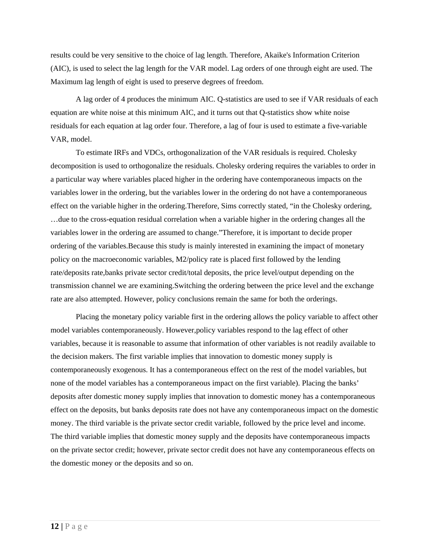results could be very sensitive to the choice of lag length. Therefore, Akaike's Information Criterion (AIC), is used to select the lag length for the VAR model. Lag orders of one through eight are used. The Maximum lag length of eight is used to preserve degrees of freedom.

A lag order of 4 produces the minimum AIC. Q-statistics are used to see if VAR residuals of each equation are white noise at this minimum AIC, and it turns out that Q-statistics show white noise residuals for each equation at lag order four. Therefore, a lag of four is used to estimate a five-variable VAR, model.

 To estimate IRFs and VDCs, orthogonalization of the VAR residuals is required. Cholesky decomposition is used to orthogonalize the residuals. Cholesky ordering requires the variables to order in a particular way where variables placed higher in the ordering have contemporaneous impacts on the variables lower in the ordering, but the variables lower in the ordering do not have a contemporaneous effect on the variable higher in the ordering.Therefore, Sims correctly stated, "in the Cholesky ordering, …due to the cross-equation residual correlation when a variable higher in the ordering changes all the variables lower in the ordering are assumed to change."Therefore, it is important to decide proper ordering of the variables.Because this study is mainly interested in examining the impact of monetary policy on the macroeconomic variables, M2/policy rate is placed first followed by the lending rate/deposits rate,banks private sector credit/total deposits, the price level/output depending on the transmission channel we are examining.Switching the ordering between the price level and the exchange rate are also attempted. However, policy conclusions remain the same for both the orderings.

Placing the monetary policy variable first in the ordering allows the policy variable to affect other model variables contemporaneously. However,policy variables respond to the lag effect of other variables, because it is reasonable to assume that information of other variables is not readily available to the decision makers. The first variable implies that innovation to domestic money supply is contemporaneously exogenous. It has a contemporaneous effect on the rest of the model variables, but none of the model variables has a contemporaneous impact on the first variable). Placing the banks' deposits after domestic money supply implies that innovation to domestic money has a contemporaneous effect on the deposits, but banks deposits rate does not have any contemporaneous impact on the domestic money. The third variable is the private sector credit variable, followed by the price level and income. The third variable implies that domestic money supply and the deposits have contemporaneous impacts on the private sector credit; however, private sector credit does not have any contemporaneous effects on the domestic money or the deposits and so on.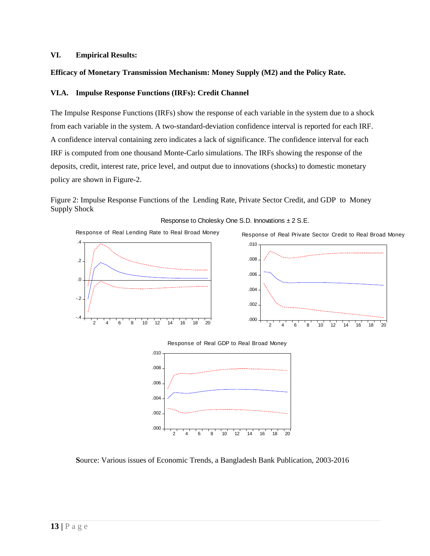#### **VI. Empirical Results:**

## **Efficacy of Monetary Transmission Mechanism: Money Supply (M2) and the Policy Rate.**

#### **VI.A. Impulse Response Functions (IRFs): Credit Channel**

The Impulse Response Functions (IRFs) show the response of each variable in the system due to a shock from each variable in the system. A two-standard-deviation confidence interval is reported for each IRF. A confidence interval containing zero indicates a lack of significance. The confidence interval for each IRF is computed from one thousand Monte-Carlo simulations. The IRFs showing the response of the deposits, credit, interest rate, price level, and output due to innovations (shocks) to domestic monetary policy are shown in Figure-2.

## Figure 2: Impulse Response Functions of the Lending Rate, Private Sector Credit, and GDP to Money Supply Shock

Response to Cholesky One S.D. Innovations ± 2 S.E.

Response of Real Lending Rate to Real Broad Money









**S**ource: Various issues of Economic Trends, a Bangladesh Bank Publication, 2003-2016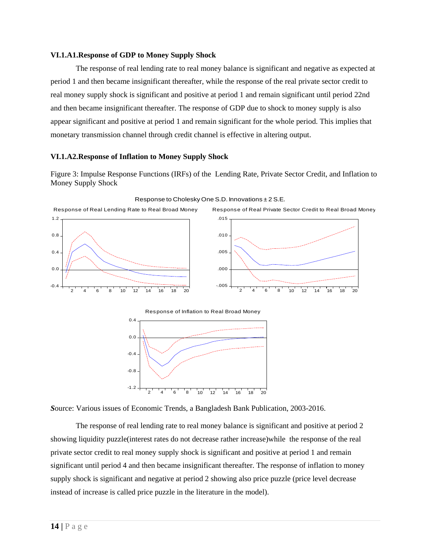#### **VI.1.A1.Response of GDP to Money Supply Shock**

The response of real lending rate to real money balance is significant and negative as expected at period 1 and then became insignificant thereafter, while the response of the real private sector credit to real money supply shock is significant and positive at period 1 and remain significant until period 22nd and then became insignificant thereafter. The response of GDP due to shock to money supply is also appear significant and positive at period 1 and remain significant for the whole period. This implies that monetary transmission channel through credit channel is effective in altering output.

## **VI.1.A2.Response of Inflation to Money Supply Shock**

Figure 3: Impulse Response Functions (IRFs) of the Lending Rate, Private Sector Credit, and Inflation to Money Supply Shock



Response to Cholesky One S.D. Innovations ± 2 S.E.

*S*ource: Various issues of Economic Trends, a Bangladesh Bank Publication, 2003-2016.

 The response of real lending rate to real money balance is significant and positive at period 2 showing liquidity puzzle(interest rates do not decrease rather increase)while the response of the real private sector credit to real money supply shock is significant and positive at period 1 and remain significant until period 4 and then became insignificant thereafter. The response of inflation to money supply shock is significant and negative at period 2 showing also price puzzle (price level decrease instead of increase is called price puzzle in the literature in the model).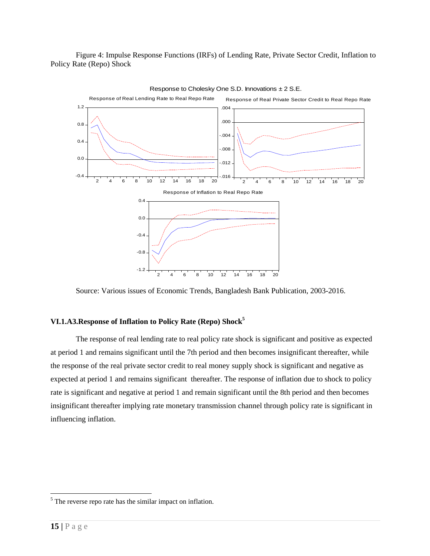Figure 4: Impulse Response Functions (IRFs) of Lending Rate, Private Sector Credit, Inflation to Policy Rate (Repo) Shock



Response to Cholesky One S.D. Innovations  $\pm 2$  S.E.

Source: Various issues of Economic Trends, Bangladesh Bank Publication, 2003-2016.

## **VI.1.A3.Response of Inflation to Policy Rate (Repo) Shock5**

The response of real lending rate to real policy rate shock is significant and positive as expected at period 1 and remains significant until the 7th period and then becomes insignificant thereafter, while the response of the real private sector credit to real money supply shock is significant and negative as expected at period 1 and remains significant thereafter. The response of inflation due to shock to policy rate is significant and negative at period 1 and remain significant until the 8th period and then becomes insignificant thereafter implying rate monetary transmission channel through policy rate is significant in influencing inflation.

 $\overline{a}$ 

 $<sup>5</sup>$  The reverse repo rate has the similar impact on inflation.</sup>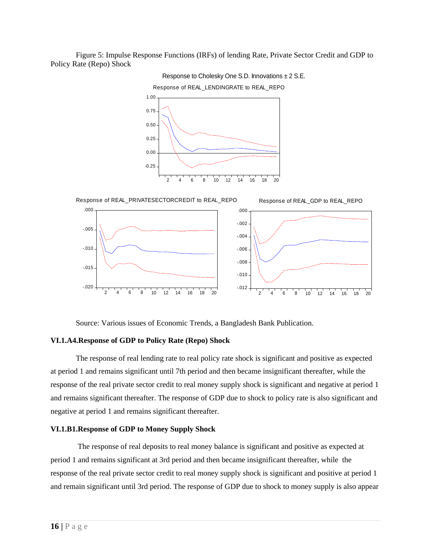Figure 5: Impulse Response Functions (IRFs) of lending Rate, Private Sector Credit and GDP to Policy Rate (Repo) Shock



Response to Cholesky One S.D. Innovations ± 2 S.E.



Source: Various issues of Economic Trends, a Bangladesh Bank Publication.

#### **VI.1.A4.Response of GDP to Policy Rate (Repo) Shock**

The response of real lending rate to real policy rate shock is significant and positive as expected at period 1 and remains significant until 7th period and then became insignificant thereafter, while the response of the real private sector credit to real money supply shock is significant and negative at period 1 and remains significant thereafter. The response of GDP due to shock to policy rate is also significant and negative at period 1 and remains significant thereafter.

#### **VI.1.B1.Response of GDP to Money Supply Shock**

 The response of real deposits to real money balance is significant and positive as expected at period 1 and remains significant at 3rd period and then became insignificant thereafter, while the response of the real private sector credit to real money supply shock is significant and positive at period 1 and remain significant until 3rd period. The response of GDP due to shock to money supply is also appear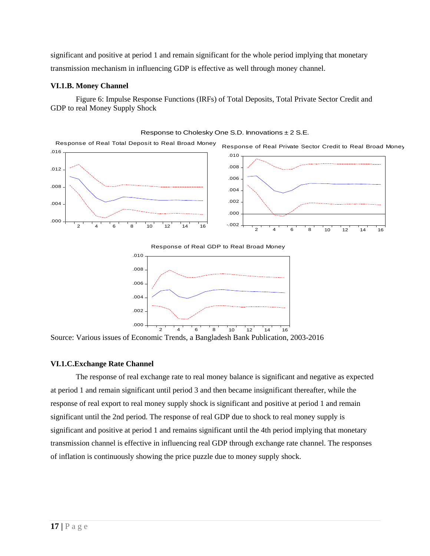significant and positive at period 1 and remain significant for the whole period implying that monetary transmission mechanism in influencing GDP is effective as well through money channel.

## **VI.1.B. Money Channel**

 Figure 6: Impulse Response Functions (IRFs) of Total Deposits, Total Private Sector Credit and GDP to real Money Supply Shock



2 4 6 8 10 12 14 16

Response to Cholesky One S.D. Innovations ± 2 S.E.

Source: Various issues of Economic Trends, a Bangladesh Bank Publication, 2003-2016

## **VI.1.C.Exchange Rate Channel**

.000

The response of real exchange rate to real money balance is significant and negative as expected at period 1 and remain significant until period 3 and then became insignificant thereafter, while the response of real export to real money supply shock is significant and positive at period 1 and remain significant until the 2nd period. The response of real GDP due to shock to real money supply is significant and positive at period 1 and remains significant until the 4th period implying that monetary transmission channel is effective in influencing real GDP through exchange rate channel. The responses of inflation is continuously showing the price puzzle due to money supply shock.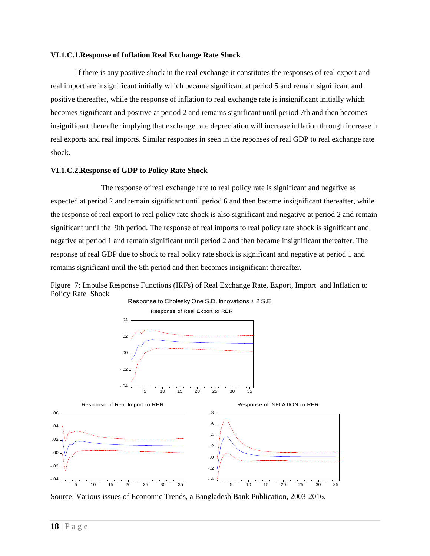#### **VI.1.C.1.Response of Inflation Real Exchange Rate Shock**

If there is any positive shock in the real exchange it constitutes the responses of real export and real import are insignificant initially which became significant at period 5 and remain significant and positive thereafter, while the response of inflation to real exchange rate is insignificant initially which becomes significant and positive at period 2 and remains significant until period 7th and then becomes insignificant thereafter implying that exchange rate depreciation will increase inflation through increase in real exports and real imports. Similar responses in seen in the reponses of real GDP to real exchange rate shock.

#### **VI.1.C.2.Response of GDP to Policy Rate Shock**

 The response of real exchange rate to real policy rate is significant and negative as expected at period 2 and remain significant until period 6 and then became insignificant thereafter, while the response of real export to real policy rate shock is also significant and negative at period 2 and remain significant until the 9th period. The response of real imports to real policy rate shock is significant and negative at period 1 and remain significant until period 2 and then became insignificant thereafter. The response of real GDP due to shock to real policy rate shock is significant and negative at period 1 and remains significant until the 8th period and then becomes insignificant thereafter.



Figure 7: Impulse Response Functions (IRFs) of Real Exchange Rate, Export, Import and Inflation to Policy Rate Shock

Source: Various issues of Economic Trends, a Bangladesh Bank Publication, 2003-2016.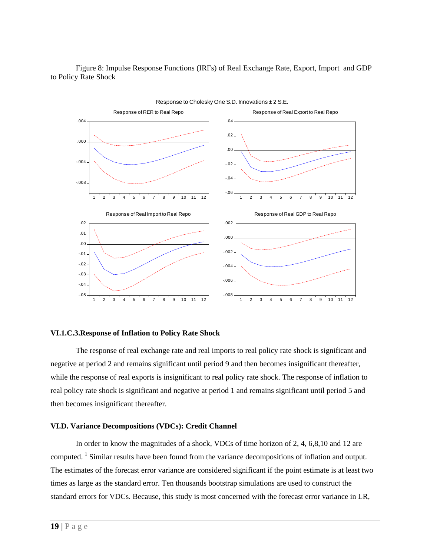Figure 8: Impulse Response Functions (IRFs) of Real Exchange Rate, Export, Import and GDP to Policy Rate Shock



**VI.1.C.3.Response of Inflation to Policy Rate Shock** 

The response of real exchange rate and real imports to real policy rate shock is significant and negative at period 2 and remains significant until period 9 and then becomes insignificant thereafter, while the response of real exports is insignificant to real policy rate shock. The response of inflation to real policy rate shock is significant and negative at period 1 and remains significant until period 5 and then becomes insignificant thereafter.

## **VI.D. Variance Decompositions (VDCs): Credit Channel**

 In order to know the magnitudes of a shock, VDCs of time horizon of 2, 4, 6,8,10 and 12 are computed.<sup>1</sup> Similar results have been found from the variance decompositions of inflation and output. The estimates of the forecast error variance are considered significant if the point estimate is at least two times as large as the standard error. Ten thousands bootstrap simulations are used to construct the standard errors for VDCs. Because, this study is most concerned with the forecast error variance in LR,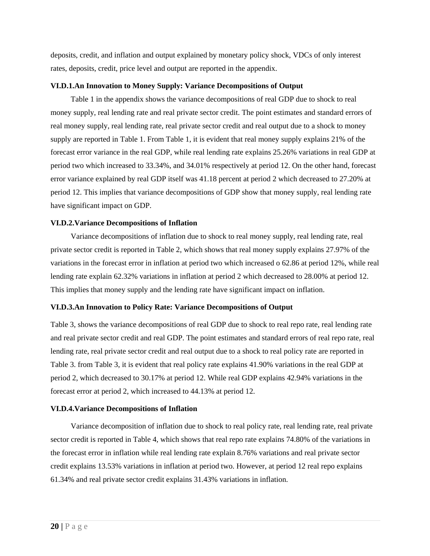deposits, credit, and inflation and output explained by monetary policy shock, VDCs of only interest rates, deposits, credit, price level and output are reported in the appendix.

## **VI.D.1.An Innovation to Money Supply: Variance Decompositions of Output**

Table 1 in the appendix shows the variance decompositions of real GDP due to shock to real money supply, real lending rate and real private sector credit. The point estimates and standard errors of real money supply, real lending rate, real private sector credit and real output due to a shock to money supply are reported in Table 1. From Table 1, it is evident that real money supply explains 21% of the forecast error variance in the real GDP, while real lending rate explains 25.26% variations in real GDP at period two which increased to 33.34%, and 34.01% respectively at period 12. On the other hand, forecast error variance explained by real GDP itself was 41.18 percent at period 2 which decreased to 27.20% at period 12. This implies that variance decompositions of GDP show that money supply, real lending rate have significant impact on GDP.

#### **VI.D.2.Variance Decompositions of Inflation**

Variance decompositions of inflation due to shock to real money supply, real lending rate, real private sector credit is reported in Table 2, which shows that real money supply explains 27.97% of the variations in the forecast error in inflation at period two which increased o 62.86 at period 12%, while real lending rate explain 62.32% variations in inflation at period 2 which decreased to 28.00% at period 12. This implies that money supply and the lending rate have significant impact on inflation.

## **VI.D.3.An Innovation to Policy Rate: Variance Decompositions of Output**

 Table 3, shows the variance decompositions of real GDP due to shock to real repo rate, real lending rate and real private sector credit and real GDP. The point estimates and standard errors of real repo rate, real lending rate, real private sector credit and real output due to a shock to real policy rate are reported in Table 3. from Table 3, it is evident that real policy rate explains 41.90% variations in the real GDP at period 2, which decreased to 30.17% at period 12. While real GDP explains 42.94% variations in the forecast error at period 2, which increased to 44.13% at period 12.

#### **VI.D.4.Variance Decompositions of Inflation**

Variance decomposition of inflation due to shock to real policy rate, real lending rate, real private sector credit is reported in Table 4, which shows that real repo rate explains 74.80% of the variations in the forecast error in inflation while real lending rate explain 8.76% variations and real private sector credit explains 13.53% variations in inflation at period two. However, at period 12 real repo explains 61.34% and real private sector credit explains 31.43% variations in inflation.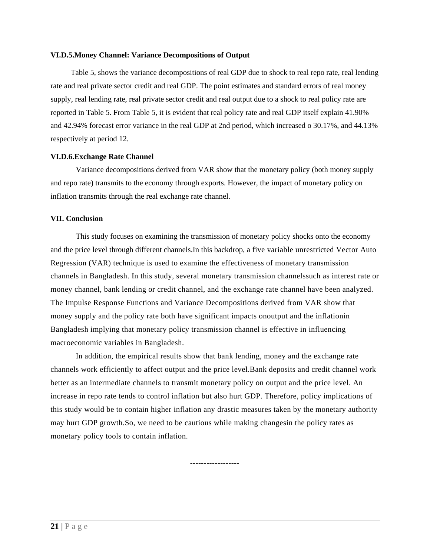#### **VI.D.5.Money Channel: Variance Decompositions of Output**

Table 5, shows the variance decompositions of real GDP due to shock to real repo rate, real lending rate and real private sector credit and real GDP. The point estimates and standard errors of real money supply, real lending rate, real private sector credit and real output due to a shock to real policy rate are reported in Table 5. From Table 5, it is evident that real policy rate and real GDP itself explain 41.90% and 42.94% forecast error variance in the real GDP at 2nd period, which increased o 30.17%, and 44.13% respectively at period 12.

#### **VI.D.6.Exchange Rate Channel**

Variance decompositions derived from VAR show that the monetary policy (both money supply and repo rate) transmits to the economy through exports. However, the impact of monetary policy on inflation transmits through the real exchange rate channel.

#### **VII. Conclusion**

 This study focuses on examining the transmission of monetary policy shocks onto the economy and the price level through different channels.In this backdrop, a five variable unrestricted Vector Auto Regression (VAR) technique is used to examine the effectiveness of monetary transmission channels in Bangladesh. In this study*,* several monetary transmission channelssuch as interest rate or money channel, bank lending or credit channel, and the exchange rate channel have been analyzed. The Impulse Response Functions and Variance Decompositions derived from VAR show that money supply and the policy rate both have significant impacts onoutput and the inflationin Bangladesh implying that monetary policy transmission channel is effective in influencing macroeconomic variables in Bangladesh.

 In addition, the empirical results show that bank lending, money and the exchange rate channels work efficiently to affect output and the price level.Bank deposits and credit channel work better as an intermediate channels to transmit monetary policy on output and the price level. An increase in repo rate tends to control inflation but also hurt GDP. Therefore, policy implications of this study would be to contain higher inflation any drastic measures taken by the monetary authority may hurt GDP growth.So, we need to be cautious while making changesin the policy rates as monetary policy tools to contain inflation.

*------------------*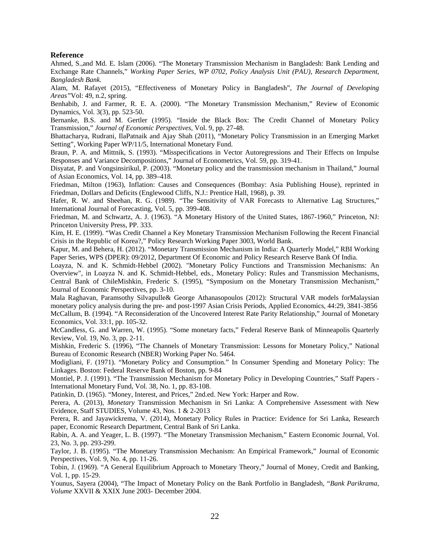#### **Reference**

Ahmed, S.,and Md. E. Islam (2006). "The Monetary Transmission Mechanism in Bangladesh: Bank Lending and Exchange Rate Channels," *Working Paper Series, WP 0702, Policy Analysis Unit (PAU), Research Department, Bangladesh Bank.* 

Alam, M. Rafayet (2015), "Effectiveness of Monetary Policy in Bangladesh", *The Journal of Developing Areas"*Vol: 49, n.2, spring.

Benhabib, J. and Farmer, R. E. A. (2000). "The Monetary Transmission Mechanism," Review of Economic Dynamics, Vol. 3(3), pp. 523-50.

Bernanke, B.S. and M. Gertler (1995). "Inside the Black Box: The Credit Channel of Monetary Policy Transmission," *Journal of Economic Perspectives*, Vol. 9, pp. 27-48.

Bhattacharya, Rudrani, IlaPatnaik and Ajay Shah (2011), "Monetary Policy Transmission in an Emerging Market Setting", Working Paper WP/11/5, International Monetary Fund.

Braun, P. A. and Mittnik, S. (1993). "Misspecifications in Vector Autoregressions and Their Effects on Impulse Responses and Variance Decompositions," Journal of Econometrics, Vol. 59, pp. 319-41.

Disyatat, P. and Vongsinsirikul, P. (2003). "Monetary policy and the transmission mechanism in Thailand," Journal of Asian Economics, Vol. 14, pp. 389–418.

Friedman, Milton (1963), Inflation: Causes and Consequences (Bombay: Asia Publishing House), reprinted in Friedman, Dollars and Deficits (Englewood Cliffs, N.J.: Prentice Hall, 1968), p. 39.

Hafer, R. W. and Sheehan, R. G. (1989). "The Sensitivity of VAR Forecasts to Alternative Lag Structures," International Journal of Forecasting, Vol. 5, pp. 399-408.

Friedman, M. and Schwartz, A. J. (1963). "A Monetary History of the United States, 1867-1960," Princeton, NJ: Princeton University Press, PP. 333.

Kim, H. E. (1999). "Was Credit Channel a Key Monetary Transmission Mechanism Following the Recent Financial Crisis in the Republic of Korea?," Policy Research Working Paper 3003, World Bank.

Kapur, M. and Behera, H. (2012). "Monetary Transmission Mechanism in India: A Quarterly Model," RBI Working Paper Series, WPS (DPER): 09/2012, Department Of Economic and Policy Research Reserve Bank Of India.

Loayza, N. and K. Schmidt-Hebbel (2002). "Monetary Policy Functions and Transmission Mechanisms: An Overview", in Loayza N. and K. Schmidt-Hebbel, eds., Monetary Policy: Rules and Transmission Mechanisms, Central Bank of ChileMishkin, Frederic S. (1995), "Symposium on the Monetary Transmission Mechanism," Journal of Economic Perspectives, pp. 3-10.

Mala Raghavan, Paramsothy Silvapulle& George Athanasopoulos (2012): Structural VAR models forMalaysian monetary policy analysis during the pre- and post-1997 Asian Crisis Periods, Applied Economics, 44:29, 3841-3856 McCallum, B. (1994). "A Reconsideration of the Uncovered Interest Rate Parity Relationship," Journal of Monetary Economics, Vol. 33:1, pp. 105-32.

McCandless, G. and Warren, W. (1995). "Some monetary facts," Federal Reserve Bank of Minneapolis Quarterly Review, Vol. 19, No. 3, pp. 2-11.

Mishkin, Frederic S. (1996), "The Channels of Monetary Transmission: Lessons for Monetary Policy," National Bureau of Economic Research (NBER) Working Paper No. 5464.

Modigliani, F. (1971). "Monetary Policy and Consumption." In Consumer Spending and Monetary Policy: The Linkages. Boston: Federal Reserve Bank of Boston, pp. 9-84

Montiel, P. J. (1991). "The Transmission Mechanism for Monetary Policy in Developing Countries," Staff Papers - International Monetary Fund, Vol. 38, No. 1, pp. 83-108.

Patinkin, D. (1965). "Money, Interest, and Prices," 2nd.ed. New York: Harper and Row.

Perera, A. (2013), *Monetary* Transmission Mechanism in Sri Lanka: A Comprehensive Assessment with New Evidence, Staff STUDIES, Volume 43, Nos. 1 & 2-2013

Perera, R. and Jayawickrema, V. (2014), Monetary Policy Rules in Practice: Evidence for Sri Lanka, Research paper, Economic Research Department, Central Bank of Sri Lanka.

Rabin, A. A. and Yeager, L. B. (1997). "The Monetary Transmission Mechanism," Eastern Economic Journal, Vol. 23, No. 3, pp. 293-299.

Taylor, J. B. (1995). "The Monetary Transmission Mechanism: An Empirical Framework," Journal of Economic Perspectives, Vol. 9, No. 4, pp. 11-26.

Tobin, J. (1969). "A General Equilibrium Approach to Monetary Theory," Journal of Money, Credit and Banking, Vol. 1, pp. 15-29.

Younus, Sayera (2004), "The Impact of Monetary Policy on the Bank Portfolio in Bangladesh, "*Bank Parikrama, Volume* XXVII & XXIX June 2003- December 2004.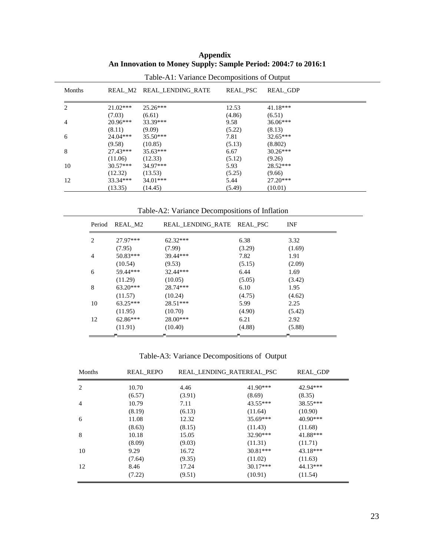#### **Appendix An Innovation to Money Supply: Sample Period: 2004:7 to 2016:1**

| Months |            | REAL M2 REAL LENDING RATE | <b>REAL PSC</b> | <b>REAL GDP</b> |
|--------|------------|---------------------------|-----------------|-----------------|
| 2      | $21.02***$ | $25.26***$                | 12.53           | $41.18***$      |
|        | (7.03)     | (6.61)                    | (4.86)          | (6.51)          |
| 4      | $20.96***$ | 33.39***                  | 9.58            | $36.06***$      |
|        | (8.11)     | (9.09)                    | (5.22)          | (8.13)          |
| 6      | $24.04***$ | $35.50***$                | 7.81            | $32.65***$      |
|        | (9.58)     | (10.85)                   | (5.13)          | (8.802)         |
| 8      | $27.43***$ | $35.63***$                | 6.67            | $30.26***$      |
|        | (11.06)    | (12.33)                   | (5.12)          | (9.26)          |
| 10     | $30.57***$ | 34.97***                  | 5.93            | $28.52***$      |
|        | (12.32)    | (13.53)                   | (5.25)          | (9.66)          |
| 12     | $33.34***$ | $34.01***$                | 5.44            | $27.20***$      |
|        | (13.35)    | (14.45)                   | (5.49)          | (10.01)         |

Table-A1: Variance Decompositions of Output

Table-A2: Variance Decompositions of Inflation

| Period         | REAL M2    | REAL LENDING RATE REAL PSC |        | <b>INF</b> |
|----------------|------------|----------------------------|--------|------------|
| 2              | 27.97***   | $62.32***$                 | 6.38   | 3.32       |
|                | (7.95)     | (7.99)                     | (3.29) | (1.69)     |
| $\overline{4}$ | $50.83***$ | 39.44***                   | 7.82   | 1.91       |
|                | (10.54)    | (9.53)                     | (5.15) | (2.09)     |
| 6              | 59.44***   | 32.44***                   | 6.44   | 1.69       |
|                | (11.29)    | (10.05)                    | (5.05) | (3.42)     |
| 8              | $63.20***$ | 28.74***                   | 6.10   | 1.95       |
|                | (11.57)    | (10.24)                    | (4.75) | (4.62)     |
| 10             | $63.25***$ | $28.51***$                 | 5.99   | 2.25       |
|                | (11.95)    | (10.70)                    | (4.90) | (5.42)     |
| 12             | $62.86***$ | 28.00***                   | 6.21   | 2.92       |
|                | (11.91)    | (10.40)                    | (4.88) | (5.88)     |
|                |            |                            |        |            |

# Table-A3: Variance Decompositions of Output

| Months | <b>REAL REPO</b> |        | REAL LENDING RATEREAL PSC | <b>REAL GDP</b> |
|--------|------------------|--------|---------------------------|-----------------|
| 2      | 10.70            | 4.46   | $41.90***$                | 42.94***        |
|        | (6.57)           | (3.91) | (8.69)                    | (8.35)          |
| 4      | 10.79            | 7.11   | $43.55***$                | 38.55***        |
|        | (8.19)           | (6.13) | (11.64)                   | (10.90)         |
| 6      | 11.08            | 12.32  | $35.69***$                | $40.90***$      |
|        | (8.63)           | (8.15) | (11.43)                   | (11.68)         |
| 8      | 10.18            | 15.05  | $32.90***$                | 41.88***        |
|        | (8.09)           | (9.03) | (11.31)                   | (11.71)         |
| 10     | 9.29             | 16.72  | $30.81***$                | 43.18***        |
|        | (7.64)           | (9.35) | (11.02)                   | (11.63)         |
| 12     | 8.46             | 17.24  | $30.17***$                | 44.13***        |
|        | (7.22)           | (9.51) | (10.91)                   | (11.54)         |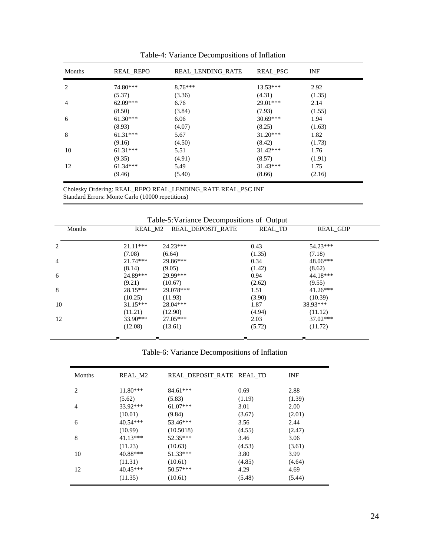| Months | <b>REAL REPO</b> | REAL LENDING RATE | REAL PSC   | <b>INF</b> |
|--------|------------------|-------------------|------------|------------|
| 2      | 74.80***         | $8.76***$         | $13.53***$ | 2.92       |
|        | (5.37)           | (3.36)            | (4.31)     | (1.35)     |
| 4      | $62.09***$       | 6.76              | $29.01***$ | 2.14       |
|        | (8.50)           | (3.84)            | (7.93)     | (1.55)     |
| 6      | $61.30***$       | 6.06              | $30.69***$ | 1.94       |
|        | (8.93)           | (4.07)            | (8.25)     | (1.63)     |
| 8      | $61.31***$       | 5.67              | $31.20***$ | 1.82       |
|        | (9.16)           | (4.50)            | (8.42)     | (1.73)     |
| 10     | $61.31***$       | 5.51              | $31.42***$ | 1.76       |
|        | (9.35)           | (4.91)            | (8.57)     | (1.91)     |
| 12     | $61.34***$       | 5.49              | $31.43***$ | 1.75       |
|        | (9.46)           | (5.40)            | (8.66)     | (2.16)     |

Table-4: Variance Decompositions of Inflation

Cholesky Ordering: REAL\_REPO REAL\_LENDING\_RATE REAL\_PSC INF Standard Errors: Monte Carlo (10000 repetitions)

| Months         | REAL M2    | Table-5: Variance Decompositions of Output<br>REAL DEPOSIT RATE | REAL TD | <b>REAL GDP</b> |
|----------------|------------|-----------------------------------------------------------------|---------|-----------------|
| 2              | $21.11***$ | $24.23***$                                                      | 0.43    | $54.23***$      |
|                | (7.08)     | (6.64)                                                          | (1.35)  | (7.18)          |
| $\overline{4}$ | $21.74***$ | 29.86***                                                        | 0.34    | 48.06***        |
|                | (8.14)     | (9.05)                                                          | (1.42)  | (8.62)          |
| 6              | 24.89***   | 29.99***                                                        | 0.94    | 44.18***        |
|                | (9.21)     | (10.67)                                                         | (2.62)  | (9.55)          |
| 8              | $28.15***$ | 29.078***                                                       | 1.51    | $41.26***$      |
|                | (10.25)    | (11.93)                                                         | (3.90)  | (10.39)         |
| 10             | $31.15***$ | $28.04***$                                                      | 1.87    | 38.93***        |
|                | (11.21)    | (12.90)                                                         | (4.94)  | (11.12)         |
| 12             | $33.90***$ | $27.05***$                                                      | 2.03    | $37.02***$      |
|                | (12.08)    | (13.61)                                                         | (5.72)  | (11.72)         |

Table-6: Variance Decompositions of Inflation

| Months | REAL M2    | REAL DEPOSIT RATE REAL TD |        | <b>INF</b> |
|--------|------------|---------------------------|--------|------------|
| 2      | $11.80***$ | $84.61***$                | 0.69   | 2.88       |
|        | (5.62)     | (5.83)                    | (1.19) | (1.39)     |
| 4      | 33.92***   | $61.07***$                | 3.01   | 2.00       |
|        | (10.01)    | (9.84)                    | (3.67) | (2.01)     |
| 6      | $40.54***$ | 53.46***                  | 3.56   | 2.44       |
|        | (10.99)    | (10.5018)                 | (4.55) | (2.47)     |
| 8      | $41.13***$ | 52.35***                  | 3.46   | 3.06       |
|        | (11.23)    | (10.63)                   | (4.53) | (3.61)     |
| 10     | 40.88***   | 51.33***                  | 3.80   | 3.99       |
|        | (11.31)    | (10.61)                   | (4.85) | (4.64)     |
| 12     | $40.45***$ | $50.57***$                | 4.29   | 4.69       |
|        | (11.35)    | (10.61)                   | (5.48) | (5.44)     |